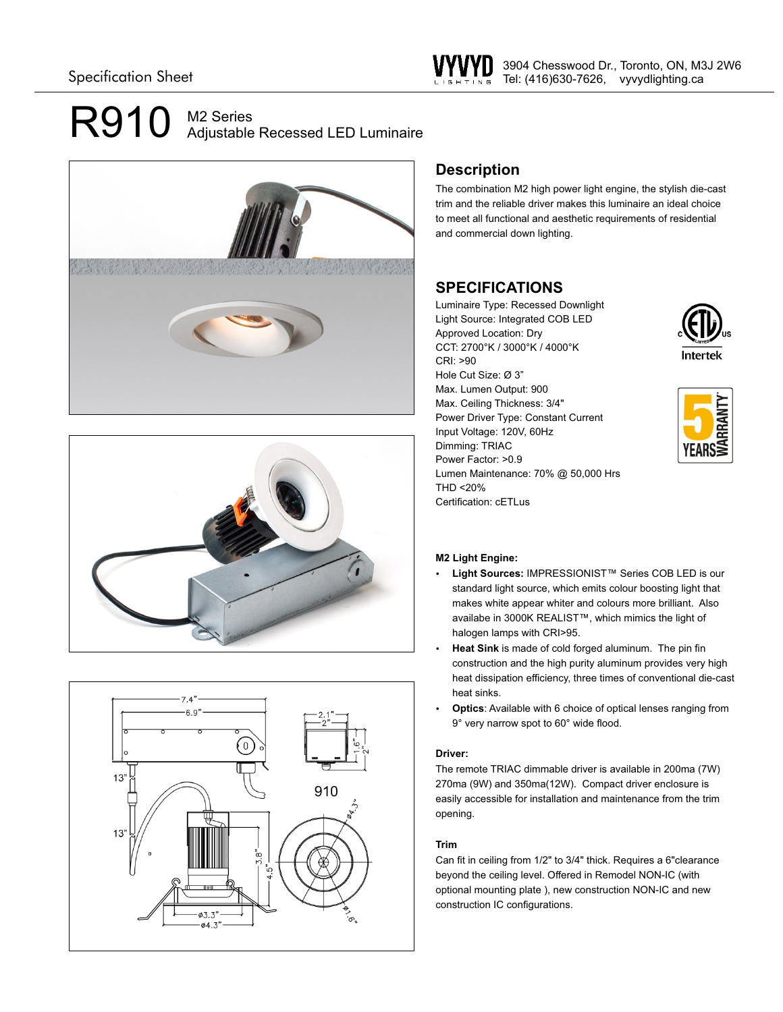# R910 M2 Series Adjustable Recessed LED Luminaire







## **Description**

The combination M2 high power light engine, the stylish die-cast trim and the reliable driver makes this luminaire an ideal choice to meet all functional and aesthetic requirements of residential and commercial down lighting.

## **SPECIFICATIONS**

Luminaire Type: Recessed Downlight Light Source: Integrated COB LED Approved Location: Dry CCT: 2700°K / 3000°K / 4000°K CRI: >90 Hole Cut Size: Ø 3" Max. Lumen Output: 900 Max. Ceiling Thickness: 3/4" Power Driver Type: Constant Current Input Voltage: 120V, 60Hz Dimming: TRIAC Power Factor: >0.9 Lumen Maintenance: 70% @ 50,000 Hrs THD <20% Certification: cETLus





### **M2 Light Engine:**

- Light Sources: IMPRESSIONIST<sup>™</sup> Series COB LED is our standard light source, which emits colour boosting light that makes white appear whiter and colours more brilliant. Also availabe in 3000K REALIST™, which mimics the light of halogen lamps with CRI>95.
- Heat Sink is made of cold forged aluminum. The pin fin construction and the high purity aluminum provides very high heat dissipation efficiency, three times of conventional die-cast heat sinks.
- Optics: Available with 6 choice of optical lenses ranging from 9° very narrow spot to 60° wide flood.

### **Driver:**

The remote TRIAC dimmable driver is available in 200ma (7W) 270ma (9W) and 350ma(12W). Compact driver enclosure is easily accessible for installation and maintenance from the trim opening.

### **Trim**

Can fit in ceiling from 1/2" to 3/4" thick. Requires a 6"clearance beyond the ceiling level. Offered in Remodel NON-IC (with optional mounting plate ), new construction NON-IC and new construction IC configurations.